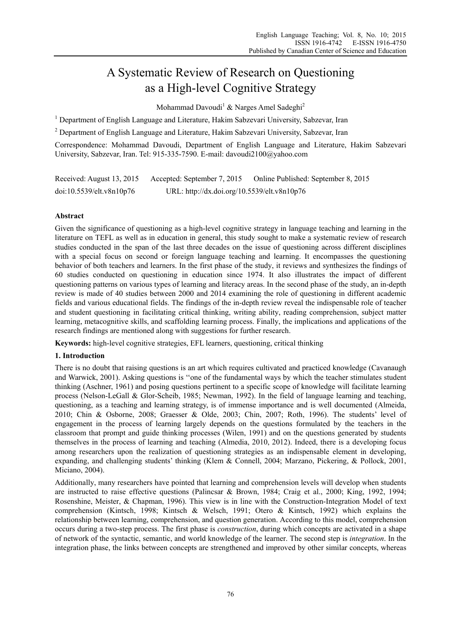# A Systematic Review of Research on Questioning as a High-level Cognitive Strategy

Mohammad Davoudi<sup>1</sup> & Narges Amel Sadeghi<sup>2</sup>

<sup>1</sup> Department of English Language and Literature, Hakim Sabzevari University, Sabzevar, Iran

<sup>2</sup> Department of English Language and Literature, Hakim Sabzevari University, Sabzevar, Iran

Correspondence: Mohammad Davoudi, Department of English Language and Literature, Hakim Sabzevari University, Sabzevar, Iran. Tel: 915-335-7590. E-mail: davoudi2100@yahoo.com

| Received: August 13, 2015 | Accepted: September 7, 2015                 | Online Published: September 8, 2015 |
|---------------------------|---------------------------------------------|-------------------------------------|
| doi:10.5539/elt.v8n10p76  | URL: http://dx.doi.org/10.5539/elt.v8n10p76 |                                     |

# **Abstract**

Given the significance of questioning as a high-level cognitive strategy in language teaching and learning in the literature on TEFL as well as in education in general, this study sought to make a systematic review of research studies conducted in the span of the last three decades on the issue of questioning across different disciplines with a special focus on second or foreign language teaching and learning. It encompasses the questioning behavior of both teachers and learners. In the first phase of the study, it reviews and synthesizes the findings of 60 studies conducted on questioning in education since 1974. It also illustrates the impact of different questioning patterns on various types of learning and literacy areas. In the second phase of the study, an in-depth review is made of 40 studies between 2000 and 2014 examining the role of questioning in different academic fields and various educational fields. The findings of the in-depth review reveal the indispensable role of teacher and student questioning in facilitating critical thinking, writing ability, reading comprehension, subject matter learning, metacognitive skills, and scaffolding learning process. Finally, the implications and applications of the research findings are mentioned along with suggestions for further research.

**Keywords:** high-level cognitive strategies, EFL learners, questioning, critical thinking

# **1. Introduction**

There is no doubt that raising questions is an art which requires cultivated and practiced knowledge (Cavanaugh and Warwick, 2001). Asking questions is ''one of the fundamental ways by which the teacher stimulates student thinking (Aschner, 1961) and posing questions pertinent to a specific scope of knowledge will facilitate learning process (Nelson-LeGall & Glor-Scheib, 1985; Newman, 1992). In the field of language learning and teaching, questioning, as a teaching and learning strategy, is of immense importance and is well documented (Almeida, 2010; Chin & Osborne, 2008; Graesser & Olde, 2003; Chin, 2007; Roth, 1996). The students' level of engagement in the process of learning largely depends on the questions formulated by the teachers in the classroom that prompt and guide thinking processes (Wilen, 1991) and on the questions generated by students themselves in the process of learning and teaching (Almedia, 2010, 2012). Indeed, there is a developing focus among researchers upon the realization of questioning strategies as an indispensable element in developing, expanding, and challenging students' thinking (Klem & Connell, 2004; Marzano, Pickering, & Pollock, 2001, Miciano, 2004).

Additionally, many researchers have pointed that learning and comprehension levels will develop when students are instructed to raise effective questions (Palincsar & Brown, 1984; Craig et al., 2000; King, 1992, 1994; Rosenshine, Meister, & Chapman, 1996). This view is in line with the Construction-Integration Model of text comprehension (Kintsch, 1998; Kintsch & Welsch, 1991; Otero & Kintsch, 1992) which explains the relationship between learning, comprehension, and question generation. According to this model, comprehension occurs during a two-step process. The first phase is *construction*, during which concepts are activated in a shape of network of the syntactic, semantic, and world knowledge of the learner. The second step is *integration*. In the integration phase, the links between concepts are strengthened and improved by other similar concepts, whereas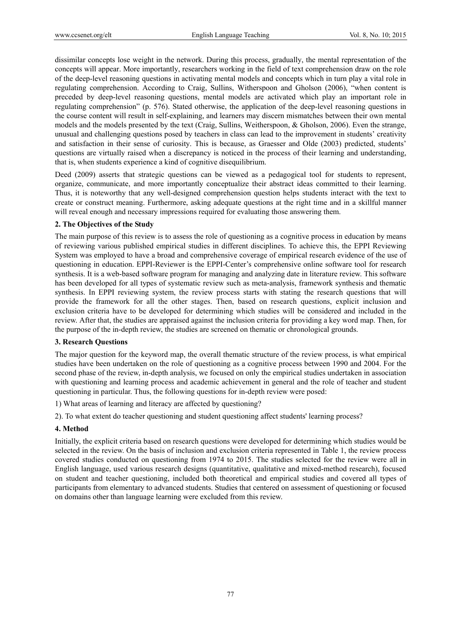dissimilar concepts lose weight in the network. During this process, gradually, the mental representation of the concepts will appear. More importantly, researchers working in the field of text comprehension draw on the role of the deep-level reasoning questions in activating mental models and concepts which in turn play a vital role in regulating comprehension. According to Craig, Sullins, Witherspoon and Gholson (2006), "when content is preceded by deep-level reasoning questions, mental models are activated which play an important role in regulating comprehension" (p. 576). Stated otherwise, the application of the deep-level reasoning questions in the course content will result in self-explaining, and learners may discern mismatches between their own mental models and the models presented by the text (Craig, Sullins, Weitherspoon, & Gholson, 2006). Even the strange, unusual and challenging questions posed by teachers in class can lead to the improvement in students' creativity and satisfaction in their sense of curiosity. This is because, as Graesser and Olde (2003) predicted, students' questions are virtually raised when a discrepancy is noticed in the process of their learning and understanding, that is, when students experience a kind of cognitive disequilibrium.

Deed (2009) asserts that strategic questions can be viewed as a pedagogical tool for students to represent, organize, communicate, and more importantly conceptualize their abstract ideas committed to their learning. Thus, it is noteworthy that any well-designed comprehension question helps students interact with the text to create or construct meaning. Furthermore, asking adequate questions at the right time and in a skillful manner will reveal enough and necessary impressions required for evaluating those answering them.

## **2. The Objectives of the Study**

The main purpose of this review is to assess the role of questioning as a cognitive process in education by means of reviewing various published empirical studies in different disciplines. To achieve this, the EPPI Reviewing System was employed to have a broad and comprehensive coverage of empirical research evidence of the use of questioning in education. EPPI-Reviewer is the EPPI-Center's comprehensive online software tool for research synthesis. It is a web-based software program for managing and analyzing date in literature review. This software has been developed for all types of systematic review such as meta-analysis, framework synthesis and thematic synthesis. In EPPI reviewing system, the review process starts with stating the research questions that will provide the framework for all the other stages. Then, based on research questions, explicit inclusion and exclusion criteria have to be developed for determining which studies will be considered and included in the review. After that, the studies are appraised against the inclusion criteria for providing a key word map. Then, for the purpose of the in-depth review, the studies are screened on thematic or chronological grounds.

## **3. Research Questions**

The major question for the keyword map, the overall thematic structure of the review process, is what empirical studies have been undertaken on the role of questioning as a cognitive process between 1990 and 2004. For the second phase of the review, in-depth analysis, we focused on only the empirical studies undertaken in association with questioning and learning process and academic achievement in general and the role of teacher and student questioning in particular. Thus, the following questions for in-depth review were posed:

1) What areas of learning and literacy are affected by questioning?

2). To what extent do teacher questioning and student questioning affect students' learning process?

## **4. Method**

Initially, the explicit criteria based on research questions were developed for determining which studies would be selected in the review. On the basis of inclusion and exclusion criteria represented in Table 1, the review process covered studies conducted on questioning from 1974 to 2015. The studies selected for the review were all in English language, used various research designs (quantitative, qualitative and mixed-method research), focused on student and teacher questioning, included both theoretical and empirical studies and covered all types of participants from elementary to advanced students. Studies that centered on assessment of questioning or focused on domains other than language learning were excluded from this review.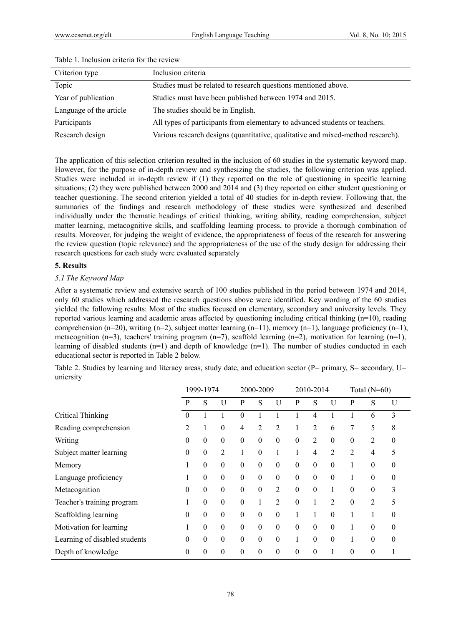| Criterion type          | Inclusion criteria                                                              |
|-------------------------|---------------------------------------------------------------------------------|
| Topic                   | Studies must be related to research questions mentioned above.                  |
| Year of publication     | Studies must have been published between 1974 and 2015.                         |
| Language of the article | The studies should be in English.                                               |
| Participants            | All types of participants from elementary to advanced students or teachers.     |
| Research design         | Various research designs (quantitative, qualitative and mixed-method research). |

#### Table 1. Inclusion criteria for the review

The application of this selection criterion resulted in the inclusion of 60 studies in the systematic keyword map. However, for the purpose of in-depth review and synthesizing the studies, the following criterion was applied. Studies were included in in-depth review if (1) they reported on the role of questioning in specific learning situations; (2) they were published between 2000 and 2014 and (3) they reported on either student questioning or teacher questioning. The second criterion yielded a total of 40 studies for in-depth review. Following that, the summaries of the findings and research methodology of these studies were synthesized and described individually under the thematic headings of critical thinking, writing ability, reading comprehension, subject matter learning, metacognitive skills, and scaffolding learning process, to provide a thorough combination of results. Moreover, for judging the weight of evidence, the appropriateness of focus of the research for answering the review question (topic relevance) and the appropriateness of the use of the study design for addressing their research questions for each study were evaluated separately

## **5. Results**

#### *5.1 The Keyword Map*

After a systematic review and extensive search of 100 studies published in the period between 1974 and 2014, only 60 studies which addressed the research questions above were identified. Key wording of the 60 studies yielded the following results: Most of the studies focused on elementary, secondary and university levels. They reported various learning and academic areas affected by questioning including critical thinking (n=10), reading comprehension (n=20), writing (n=2), subject matter learning (n=11), memory (n=1), language proficiency (n=1), metacognition (n=3), teachers' training program (n=7), scaffold learning (n=2), motivation for learning (n=1), learning of disabled students  $(n=1)$  and depth of knowledge  $(n=1)$ . The number of studies conducted in each educational sector is reported in Table 2 below.

Table 2. Studies by learning and literacy areas, study date, and education sector ( $P=$  primary,  $S=$  secondary,  $U=$ uniersity

|                               |          | 1999-1974    |          | 2000-2009      |                  |                | 2010-2014 |                |                | Total $(N=60)$ |                |   |
|-------------------------------|----------|--------------|----------|----------------|------------------|----------------|-----------|----------------|----------------|----------------|----------------|---|
|                               | P        | S            | U        | P              | S                | U              | P         | S              | U              | P              | S              | U |
| Critical Thinking             | $\theta$ |              |          | $\theta$       |                  |                |           | 4              |                |                | 6              | 3 |
| Reading comprehension         | 2        |              | $\theta$ | $\overline{4}$ | 2                | 2              |           | 2              | 6              | 7              | 5              | 8 |
| Writing                       | 0        | $\mathbf{0}$ | $\theta$ | $\theta$       | $\boldsymbol{0}$ | $\theta$       | $\theta$  | 2              | $\overline{0}$ | $\mathbf{0}$   | 2              | 0 |
| Subject matter learning       | 0        | $\theta$     | 2        |                | $\theta$         |                |           | $\overline{4}$ | $\overline{2}$ | $\overline{c}$ | 4              | 5 |
| Memory                        |          | $\theta$     | $\theta$ | $\theta$       | $\theta$         | $\theta$       | $\Omega$  | $\theta$       | $\theta$       | 1              | $\Omega$       | 0 |
| Language proficiency          |          | $\theta$     | $\theta$ | $\theta$       | $\theta$         | $\theta$       | $\theta$  | $\theta$       | $\theta$       | ı              | $\Omega$       | 0 |
| Metacognition                 | 0        | $\theta$     | $\Omega$ | $\Omega$       | $\theta$         | 2              | $\Omega$  | $\Omega$       |                | $\theta$       | $\Omega$       | 3 |
| Teacher's training program    |          | $\theta$     | $\Omega$ | $\Omega$       |                  | $\overline{2}$ | $\Omega$  |                | $\overline{2}$ | $\theta$       | $\overline{c}$ | 5 |
| Scaffolding learning          | 0        | $\theta$     | $\theta$ | $\theta$       | $\theta$         | $\theta$       |           |                | $\theta$       | 1              |                | 0 |
| Motivation for learning       |          | $\theta$     | $\theta$ | $\theta$       | $\theta$         | $\theta$       | $\Omega$  | $\theta$       | $\theta$       |                | $\Omega$       | 0 |
| Learning of disabled students | $\theta$ | $\theta$     | $\theta$ | $\theta$       | $\theta$         | $\theta$       |           | $\theta$       | $\theta$       |                | $\Omega$       | 0 |
| Depth of knowledge            | 0        | 0            | $\theta$ | $\theta$       | $\theta$         | $\theta$       | $\theta$  | $\theta$       |                | 0              | 0              |   |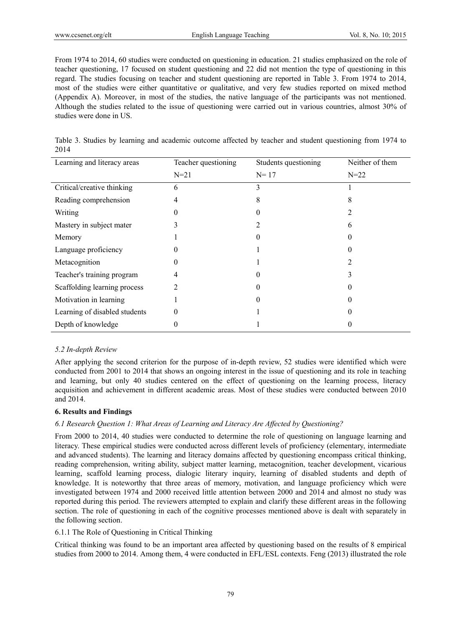From 1974 to 2014, 60 studies were conducted on questioning in education. 21 studies emphasized on the role of teacher questioning, 17 focused on student questioning and 22 did not mention the type of questioning in this regard. The studies focusing on teacher and student questioning are reported in Table 3. From 1974 to 2014, most of the studies were either quantitative or qualitative, and very few studies reported on mixed method (Appendix A). Moreover, in most of the studies, the native language of the participants was not mentioned. Although the studies related to the issue of questioning were carried out in various countries, almost 30% of studies were done in US.

Table 3. Studies by learning and academic outcome affected by teacher and student questioning from 1974 to 2014

| Teacher questioning | Students questioning | Neither of them |  |
|---------------------|----------------------|-----------------|--|
| $N=21$              | $N = 17$             | $N = 22$        |  |
| 6                   | 3                    |                 |  |
| 4                   |                      | δ               |  |
| 0                   |                      |                 |  |
|                     |                      | b               |  |
|                     |                      |                 |  |
|                     |                      |                 |  |
|                     |                      |                 |  |
|                     |                      |                 |  |
|                     |                      |                 |  |
|                     |                      |                 |  |
|                     |                      |                 |  |
|                     |                      |                 |  |
|                     |                      |                 |  |

## *5.2 In-depth Review*

After applying the second criterion for the purpose of in-depth review, 52 studies were identified which were conducted from 2001 to 2014 that shows an ongoing interest in the issue of questioning and its role in teaching and learning, but only 40 studies centered on the effect of questioning on the learning process, literacy acquisition and achievement in different academic areas. Most of these studies were conducted between 2010 and 2014.

## **6. Results and Findings**

## *6.1 Research Question 1: What Areas of Learning and Literacy Are Affected by Questioning?*

From 2000 to 2014, 40 studies were conducted to determine the role of questioning on language learning and literacy. These empirical studies were conducted across different levels of proficiency (elementary, intermediate and advanced students). The learning and literacy domains affected by questioning encompass critical thinking, reading comprehension, writing ability, subject matter learning, metacognition, teacher development, vicarious learning, scaffold learning process, dialogic literary inquiry, learning of disabled students and depth of knowledge. It is noteworthy that three areas of memory, motivation, and language proficiency which were investigated between 1974 and 2000 received little attention between 2000 and 2014 and almost no study was reported during this period. The reviewers attempted to explain and clarify these different areas in the following section. The role of questioning in each of the cognitive processes mentioned above is dealt with separately in the following section.

## 6.1.1 The Role of Questioning in Critical Thinking

Critical thinking was found to be an important area affected by questioning based on the results of 8 empirical studies from 2000 to 2014. Among them, 4 were conducted in EFL/ESL contexts. Feng (2013) illustrated the role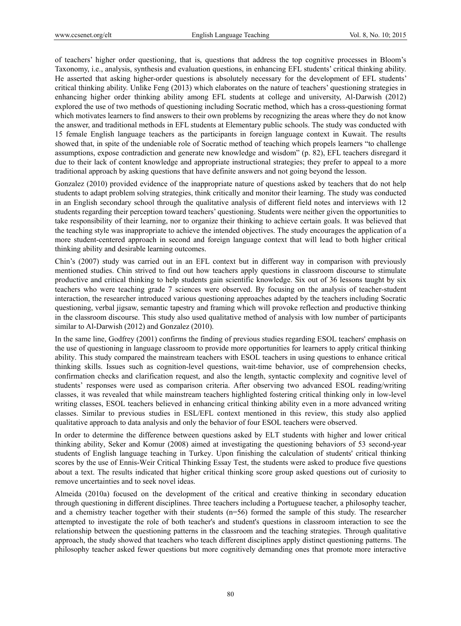of teachers' higher order questioning, that is, questions that address the top cognitive processes in Bloom's Taxonomy, i.e., analysis, synthesis and evaluation questions, in enhancing EFL students' critical thinking ability. He asserted that asking higher-order questions is absolutely necessary for the development of EFL students' critical thinking ability. Unlike Feng (2013) which elaborates on the nature of teachers' questioning strategies in enhancing higher order thinking ability among EFL students at college and university, Al-Darwish (2012) explored the use of two methods of questioning including Socratic method, which has a cross-questioning format which motivates learners to find answers to their own problems by recognizing the areas where they do not know the answer, and traditional methods in EFL students at Elementary public schools. The study was conducted with 15 female English language teachers as the participants in foreign language context in Kuwait. The results showed that, in spite of the undeniable role of Socratic method of teaching which propels learners "to challenge assumptions, expose contradiction and generate new knowledge and wisdom" (p. 82), EFL teachers disregard it due to their lack of content knowledge and appropriate instructional strategies; they prefer to appeal to a more traditional approach by asking questions that have definite answers and not going beyond the lesson.

Gonzalez (2010) provided evidence of the inappropriate nature of questions asked by teachers that do not help students to adapt problem solving strategies, think critically and monitor their learning. The study was conducted in an English secondary school through the qualitative analysis of different field notes and interviews with 12 students regarding their perception toward teachers' questioning. Students were neither given the opportunities to take responsibility of their learning, nor to organize their thinking to achieve certain goals. It was believed that the teaching style was inappropriate to achieve the intended objectives. The study encourages the application of a more student-centered approach in second and foreign language context that will lead to both higher critical thinking ability and desirable learning outcomes.

Chin's (2007) study was carried out in an EFL context but in different way in comparison with previously mentioned studies. Chin strived to find out how teachers apply questions in classroom discourse to stimulate productive and critical thinking to help students gain scientific knowledge. Six out of 36 lessons taught by six teachers who were teaching grade 7 sciences were observed. By focusing on the analysis of teacher-student interaction, the researcher introduced various questioning approaches adapted by the teachers including Socratic questioning, verbal jigsaw, semantic tapestry and framing which will provoke reflection and productive thinking in the classroom discourse. This study also used qualitative method of analysis with low number of participants similar to Al-Darwish (2012) and Gonzalez (2010).

In the same line, Godfrey (2001) confirms the finding of previous studies regarding ESOL teachers' emphasis on the use of questioning in language classroom to provide more opportunities for learners to apply critical thinking ability. This study compared the mainstream teachers with ESOL teachers in using questions to enhance critical thinking skills. Issues such as cognition-level questions, wait-time behavior, use of comprehension checks, confirmation checks and clarification request, and also the length, syntactic complexity and cognitive level of students' responses were used as comparison criteria. After observing two advanced ESOL reading/writing classes, it was revealed that while mainstream teachers highlighted fostering critical thinking only in low-level writing classes, ESOL teachers believed in enhancing critical thinking ability even in a more advanced writing classes. Similar to previous studies in ESL/EFL context mentioned in this review, this study also applied qualitative approach to data analysis and only the behavior of four ESOL teachers were observed.

In order to determine the difference between questions asked by ELT students with higher and lower critical thinking ability, Seker and Komur (2008) aimed at investigating the questioning behaviors of 53 second-year students of English language teaching in Turkey. Upon finishing the calculation of students' critical thinking scores by the use of Ennis-Weir Critical Thinking Essay Test, the students were asked to produce five questions about a text. The results indicated that higher critical thinking score group asked questions out of curiosity to remove uncertainties and to seek novel ideas.

Almeida (2010a) focused on the development of the critical and creative thinking in secondary education through questioning in different disciplines. Three teachers including a Portuguese teacher, a philosophy teacher, and a chemistry teacher together with their students (n=56) formed the sample of this study. The researcher attempted to investigate the role of both teacher's and student's questions in classroom interaction to see the relationship between the questioning patterns in the classroom and the teaching strategies. Through qualitative approach, the study showed that teachers who teach different disciplines apply distinct questioning patterns. The philosophy teacher asked fewer questions but more cognitively demanding ones that promote more interactive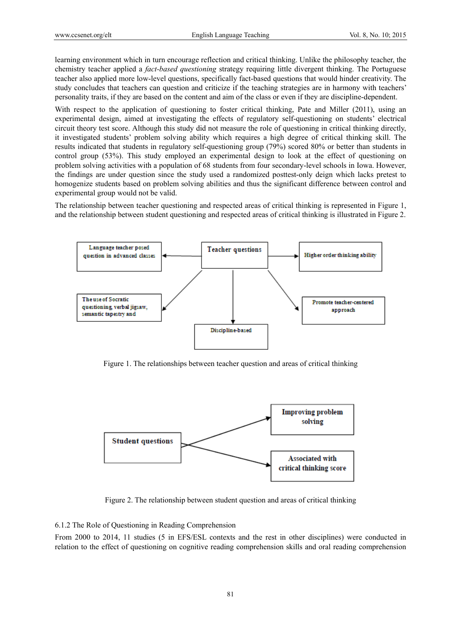learning environment which in turn encourage reflection and critical thinking. Unlike the philosophy teacher, the chemistry teacher applied a *fact-based questioning* strategy requiring little divergent thinking. The Portuguese teacher also applied more low-level questions, specifically fact-based questions that would hinder creativity. The study concludes that teachers can question and criticize if the teaching strategies are in harmony with teachers' personality traits, if they are based on the content and aim of the class or even if they are discipline-dependent.

With respect to the application of questioning to foster critical thinking, Pate and Miller (2011), using an experimental design, aimed at investigating the effects of regulatory self-questioning on students' electrical circuit theory test score. Although this study did not measure the role of questioning in critical thinking directly, it investigated students' problem solving ability which requires a high degree of critical thinking skill. The results indicated that students in regulatory self-questioning group (79%) scored 80% or better than students in control group (53%). This study employed an experimental design to look at the effect of questioning on problem solving activities with a population of 68 students from four secondary-level schools in Iowa. However, the findings are under question since the study used a randomized posttest-only deign which lacks pretest to homogenize students based on problem solving abilities and thus the significant difference between control and experimental group would not be valid.

The relationship between teacher questioning and respected areas of critical thinking is represented in Figure 1, and the relationship between student questioning and respected areas of critical thinking is illustrated in Figure 2.



Figure 1. The relationships between teacher question and areas of critical thinking



Figure 2. The relationship between student question and areas of critical thinking

6.1.2 The Role of Questioning in Reading Comprehension

From 2000 to 2014, 11 studies (5 in EFS/ESL contexts and the rest in other disciplines) were conducted in relation to the effect of questioning on cognitive reading comprehension skills and oral reading comprehension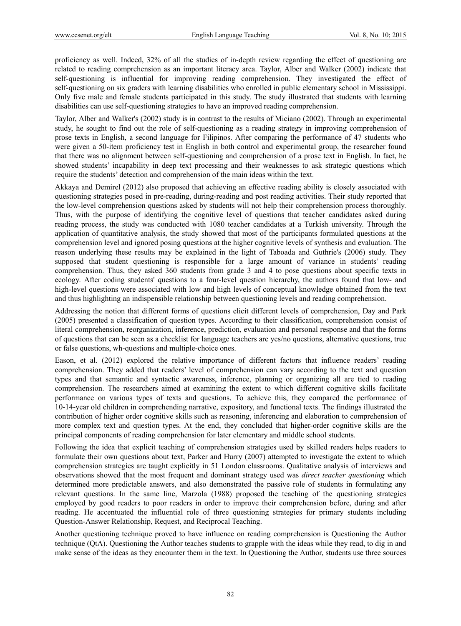proficiency as well. Indeed, 32% of all the studies of in-depth review regarding the effect of questioning are related to reading comprehension as an important literacy area. Taylor, Alber and Walker (2002) indicate that self-questioning is influential for improving reading comprehension. They investigated the effect of self-questioning on six graders with learning disabilities who enrolled in public elementary school in Mississippi. Only five male and female students participated in this study. The study illustrated that students with learning disabilities can use self-questioning strategies to have an improved reading comprehension.

Taylor, Alber and Walker's (2002) study is in contrast to the results of Miciano (2002). Through an experimental study, he sought to find out the role of self-questioning as a reading strategy in improving comprehension of prose texts in English, a second language for Filipinos. After comparing the performance of 47 students who were given a 50-item proficiency test in English in both control and experimental group, the researcher found that there was no alignment between self-questioning and comprehension of a prose text in English. In fact, he showed students' incapability in deep text processing and their weaknesses to ask strategic questions which require the students' detection and comprehension of the main ideas within the text.

Akkaya and Demirel (2012) also proposed that achieving an effective reading ability is closely associated with questioning strategies posed in pre-reading, during-reading and post reading activities. Their study reported that the low-level comprehension questions asked by students will not help their comprehension process thoroughly. Thus, with the purpose of identifying the cognitive level of questions that teacher candidates asked during reading process, the study was conducted with 1080 teacher candidates at a Turkish university. Through the application of quantitative analysis, the study showed that most of the participants formulated questions at the comprehension level and ignored posing questions at the higher cognitive levels of synthesis and evaluation. The reason underlying these results may be explained in the light of Taboada and Guthrie's (2006) study. They supposed that student questioning is responsible for a large amount of variance in students' reading comprehension. Thus, they asked 360 students from grade 3 and 4 to pose questions about specific texts in ecology. After coding students' questions to a four-level question hierarchy, the authors found that low- and high-level questions were associated with low and high levels of conceptual knowledge obtained from the text and thus highlighting an indispensible relationship between questioning levels and reading comprehension.

Addressing the notion that different forms of questions elicit different levels of comprehension, Day and Park (2005) presented a classification of question types. According to their classification, comprehension consist of literal comprehension, reorganization, inference, prediction, evaluation and personal response and that the forms of questions that can be seen as a checklist for language teachers are yes/no questions, alternative questions, true or false questions, wh-questions and multiple-choice ones.

Eason, et al. (2012) explored the relative importance of different factors that influence readers' reading comprehension. They added that readers' level of comprehension can vary according to the text and question types and that semantic and syntactic awareness, inference, planning or organizing all are tied to reading comprehension. The researchers aimed at examining the extent to which different cognitive skills facilitate performance on various types of texts and questions. To achieve this, they compared the performance of 10-14-year old children in comprehending narrative, expository, and functional texts. The findings illustrated the contribution of higher order cognitive skills such as reasoning, inferencing and elaboration to comprehension of more complex text and question types. At the end, they concluded that higher-order cognitive skills are the principal components of reading comprehension for later elementary and middle school students.

Following the idea that explicit teaching of comprehension strategies used by skilled readers helps readers to formulate their own questions about text, Parker and Hurry (2007) attempted to investigate the extent to which comprehension strategies are taught explicitly in 51 London classrooms. Qualitative analysis of interviews and observations showed that the most frequent and dominant strategy used was *direct teacher questioning* which determined more predictable answers, and also demonstrated the passive role of students in formulating any relevant questions. In the same line, Marzola (1988) proposed the teaching of the questioning strategies employed by good readers to poor readers in order to improve their comprehension before, during and after reading. He accentuated the influential role of three questioning strategies for primary students including Question-Answer Relationship, Request, and Reciprocal Teaching.

Another questioning technique proved to have influence on reading comprehension is Questioning the Author technique (QtA). Questioning the Author teaches students to grapple with the ideas while they read, to dig in and make sense of the ideas as they encounter them in the text. In Questioning the Author, students use three sources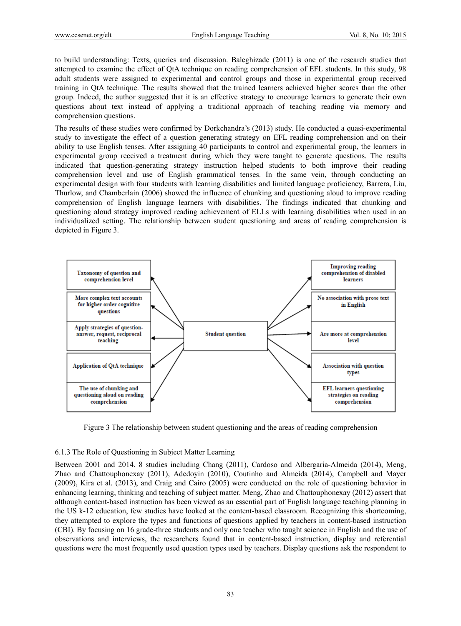to build understanding: Texts, queries and discussion. Baleghizade (2011) is one of the research studies that attempted to examine the effect of QtA technique on reading comprehension of EFL students. In this study, 98 adult students were assigned to experimental and control groups and those in experimental group received training in QtA technique. The results showed that the trained learners achieved higher scores than the other group. Indeed, the author suggested that it is an effective strategy to encourage learners to generate their own questions about text instead of applying a traditional approach of teaching reading via memory and comprehension questions.

The results of these studies were confirmed by Dorkchandra's (2013) study. He conducted a quasi-experimental study to investigate the effect of a question generating strategy on EFL reading comprehension and on their ability to use English tenses. After assigning 40 participants to control and experimental group, the learners in experimental group received a treatment during which they were taught to generate questions. The results indicated that question-generating strategy instruction helped students to both improve their reading comprehension level and use of English grammatical tenses. In the same vein, through conducting an experimental design with four students with learning disabilities and limited language proficiency, Barrera, Liu, Thurlow, and Chamberlain (2006) showed the influence of chunking and questioning aloud to improve reading comprehension of English language learners with disabilities. The findings indicated that chunking and questioning aloud strategy improved reading achievement of ELLs with learning disabilities when used in an individualized setting. The relationship between student questioning and areas of reading comprehension is depicted in Figure 3.



Figure 3 The relationship between student questioning and the areas of reading comprehension

## 6.1.3 The Role of Questioning in Subject Matter Learning

Between 2001 and 2014, 8 studies including Chang (2011), Cardoso and Albergaria-Almeida (2014), Meng, Zhao and Chattouphonexay (2011), Adedoyin (2010), Coutinho and Almeida (2014), Campbell and Mayer (2009), Kira et al. (2013), and Craig and Cairo (2005) were conducted on the role of questioning behavior in enhancing learning, thinking and teaching of subject matter. Meng, Zhao and Chattouphonexay (2012) assert that although content-based instruction has been viewed as an essential part of English language teaching planning in the US k-12 education, few studies have looked at the content-based classroom. Recognizing this shortcoming, they attempted to explore the types and functions of questions applied by teachers in content-based instruction (CBI). By focusing on 16 grade-three students and only one teacher who taught science in English and the use of observations and interviews, the researchers found that in content-based instruction, display and referential questions were the most frequently used question types used by teachers. Display questions ask the respondent to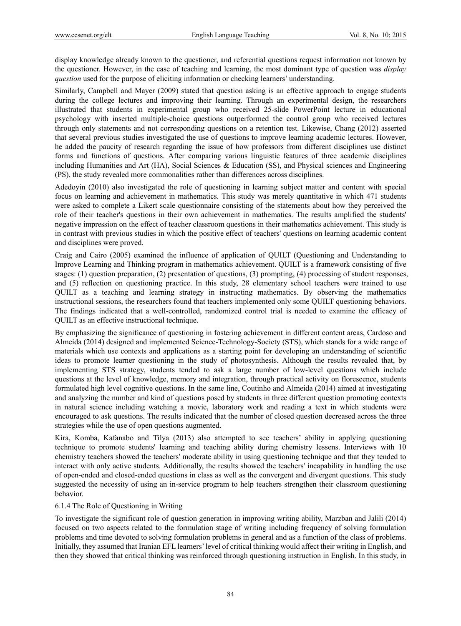display knowledge already known to the questioner, and referential questions request information not known by the questioner. However, in the case of teaching and learning, the most dominant type of question was *display question* used for the purpose of eliciting information or checking learners' understanding.

Similarly, Campbell and Mayer (2009) stated that question asking is an effective approach to engage students during the college lectures and improving their learning. Through an experimental design, the researchers illustrated that students in experimental group who received 25-slide PowerPoint lecture in educational psychology with inserted multiple-choice questions outperformed the control group who received lectures through only statements and not corresponding questions on a retention test. Likewise, Chang (2012) asserted that several previous studies investigated the use of questions to improve learning academic lectures. However, he added the paucity of research regarding the issue of how professors from different disciplines use distinct forms and functions of questions. After comparing various linguistic features of three academic disciplines including Humanities and Art (HA), Social Sciences & Education (SS), and Physical sciences and Engineering (PS), the study revealed more commonalities rather than differences across disciplines.

Adedoyin (2010) also investigated the role of questioning in learning subject matter and content with special focus on learning and achievement in mathematics. This study was merely quantitative in which 471 students were asked to complete a Likert scale questionnaire consisting of the statements about how they perceived the role of their teacher's questions in their own achievement in mathematics. The results amplified the students' negative impression on the effect of teacher classroom questions in their mathematics achievement. This study is in contrast with previous studies in which the positive effect of teachers' questions on learning academic content and disciplines were proved.

Craig and Cairo (2005) examined the influence of application of QUILT (Questioning and Understanding to Improve Learning and Thinking program in mathematics achievement. QUILT is a framework consisting of five stages: (1) question preparation, (2) presentation of questions, (3) prompting, (4) processing of student responses, and (5) reflection on questioning practice. In this study, 28 elementary school teachers were trained to use QUILT as a teaching and learning strategy in instructing mathematics. By observing the mathematics instructional sessions, the researchers found that teachers implemented only some QUILT questioning behaviors. The findings indicated that a well-controlled, randomized control trial is needed to examine the efficacy of QUILT as an effective instructional technique.

By emphasizing the significance of questioning in fostering achievement in different content areas, Cardoso and Almeida (2014) designed and implemented Science-Technology-Society (STS), which stands for a wide range of materials which use contexts and applications as a starting point for developing an understanding of scientific ideas to promote learner questioning in the study of photosynthesis. Although the results revealed that, by implementing STS strategy, students tended to ask a large number of low-level questions which include questions at the level of knowledge, memory and integration, through practical activity on florescence, students formulated high level cognitive questions. In the same line, Coutinho and Almeida (2014) aimed at investigating and analyzing the number and kind of questions posed by students in three different question promoting contexts in natural science including watching a movie, laboratory work and reading a text in which students were encouraged to ask questions. The results indicated that the number of closed question decreased across the three strategies while the use of open questions augmented.

Kira, Komba, Kafanabo and Tilya (2013) also attempted to see teachers' ability in applying questioning technique to promote students' learning and teaching ability during chemistry lessens. Interviews with 10 chemistry teachers showed the teachers' moderate ability in using questioning technique and that they tended to interact with only active students. Additionally, the results showed the teachers' incapability in handling the use of open-ended and closed-ended questions in class as well as the convergent and divergent questions. This study suggested the necessity of using an in-service program to help teachers strengthen their classroom questioning behavior.

## 6.1.4 The Role of Questioning in Writing

To investigate the significant role of question generation in improving writing ability, Marzban and Jalili (2014) focused on two aspects related to the formulation stage of writing including frequency of solving formulation problems and time devoted to solving formulation problems in general and as a function of the class of problems. Initially, they assumed that Iranian EFL learners' level of critical thinking would affect their writing in English, and then they showed that critical thinking was reinforced through questioning instruction in English. In this study, in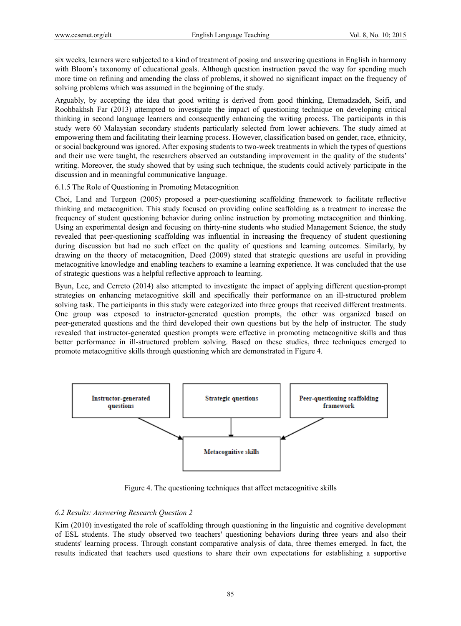six weeks, learners were subjected to a kind of treatment of posing and answering questions in English in harmony with Bloom's taxonomy of educational goals. Although question instruction paved the way for spending much more time on refining and amending the class of problems, it showed no significant impact on the frequency of solving problems which was assumed in the beginning of the study.

Arguably, by accepting the idea that good writing is derived from good thinking, Etemadzadeh, Seifi, and Roohbakhsh Far (2013) attempted to investigate the impact of questioning technique on developing critical thinking in second language learners and consequently enhancing the writing process. The participants in this study were 60 Malaysian secondary students particularly selected from lower achievers. The study aimed at empowering them and facilitating their learning process. However, classification based on gender, race, ethnicity, or social background was ignored. After exposing students to two-week treatments in which the types of questions and their use were taught, the researchers observed an outstanding improvement in the quality of the students' writing. Moreover, the study showed that by using such technique, the students could actively participate in the discussion and in meaningful communicative language.

#### 6.1.5 The Role of Questioning in Promoting Metacognition

Choi, Land and Turgeon (2005) proposed a peer-questioning scaffolding framework to facilitate reflective thinking and metacognition. This study focused on providing online scaffolding as a treatment to increase the frequency of student questioning behavior during online instruction by promoting metacognition and thinking. Using an experimental design and focusing on thirty-nine students who studied Management Science, the study revealed that peer-questioning scaffolding was influential in increasing the frequency of student questioning during discussion but had no such effect on the quality of questions and learning outcomes. Similarly, by drawing on the theory of metacognition, Deed (2009) stated that strategic questions are useful in providing metacognitive knowledge and enabling teachers to examine a learning experience. It was concluded that the use of strategic questions was a helpful reflective approach to learning.

Byun, Lee, and Cerreto (2014) also attempted to investigate the impact of applying different question-prompt strategies on enhancing metacognitive skill and specifically their performance on an ill-structured problem solving task. The participants in this study were categorized into three groups that received different treatments. One group was exposed to instructor-generated question prompts, the other was organized based on peer-generated questions and the third developed their own questions but by the help of instructor. The study revealed that instructor-generated question prompts were effective in promoting metacognitive skills and thus better performance in ill-structured problem solving. Based on these studies, three techniques emerged to promote metacognitive skills through questioning which are demonstrated in Figure 4.



Figure 4. The questioning techniques that affect metacognitive skills

## *6.2 Results: Answering Research Question 2*

Kim (2010) investigated the role of scaffolding through questioning in the linguistic and cognitive development of ESL students. The study observed two teachers' questioning behaviors during three years and also their students' learning process. Through constant comparative analysis of data, three themes emerged. In fact, the results indicated that teachers used questions to share their own expectations for establishing a supportive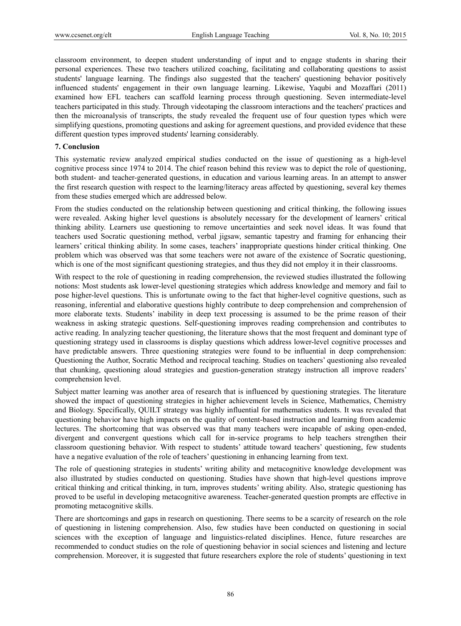classroom environment, to deepen student understanding of input and to engage students in sharing their personal experiences. These two teachers utilized coaching, facilitating and collaborating questions to assist students' language learning. The findings also suggested that the teachers' questioning behavior positively influenced students' engagement in their own language learning. Likewise, Yaqubi and Mozaffari (2011) examined how EFL teachers can scaffold learning process through questioning. Seven intermediate-level teachers participated in this study. Through videotaping the classroom interactions and the teachers' practices and then the microanalysis of transcripts, the study revealed the frequent use of four question types which were simplifying questions, promoting questions and asking for agreement questions, and provided evidence that these different question types improved students' learning considerably.

#### **7. Conclusion**

This systematic review analyzed empirical studies conducted on the issue of questioning as a high-level cognitive process since 1974 to 2014. The chief reason behind this review was to depict the role of questioning, both student- and teacher-generated questions, in education and various learning areas. In an attempt to answer the first research question with respect to the learning/literacy areas affected by questioning, several key themes from these studies emerged which are addressed below.

From the studies conducted on the relationship between questioning and critical thinking, the following issues were revealed. Asking higher level questions is absolutely necessary for the development of learners' critical thinking ability. Learners use questioning to remove uncertainties and seek novel ideas. It was found that teachers used Socratic questioning method, verbal jigsaw, semantic tapestry and framing for enhancing their learners' critical thinking ability. In some cases, teachers' inappropriate questions hinder critical thinking. One problem which was observed was that some teachers were not aware of the existence of Socratic questioning, which is one of the most significant questioning strategies, and thus they did not employ it in their classrooms.

With respect to the role of questioning in reading comprehension, the reviewed studies illustrated the following notions: Most students ask lower-level questioning strategies which address knowledge and memory and fail to pose higher-level questions. This is unfortunate owing to the fact that higher-level cognitive questions, such as reasoning, inferential and elaborative questions highly contribute to deep comprehension and comprehension of more elaborate texts. Students' inability in deep text processing is assumed to be the prime reason of their weakness in asking strategic questions. Self-questioning improves reading comprehension and contributes to active reading. In analyzing teacher questioning, the literature shows that the most frequent and dominant type of questioning strategy used in classrooms is display questions which address lower-level cognitive processes and have predictable answers. Three questioning strategies were found to be influential in deep comprehension: Questioning the Author, Socratic Method and reciprocal teaching. Studies on teachers' questioning also revealed that chunking, questioning aloud strategies and guestion-generation strategy instruction all improve readers' comprehension level.

Subject matter learning was another area of research that is influenced by questioning strategies. The literature showed the impact of questioning strategies in higher achievement levels in Science, Mathematics, Chemistry and Biology. Specifically, QUILT strategy was highly influential for mathematics students. It was revealed that questioning behavior have high impacts on the quality of content-based instruction and learning from academic lectures. The shortcoming that was observed was that many teachers were incapable of asking open-ended, divergent and convergent questions which call for in-service programs to help teachers strengthen their classroom questioning behavior. With respect to students' attitude toward teachers' questioning, few students have a negative evaluation of the role of teachers' questioning in enhancing learning from text.

The role of questioning strategies in students' writing ability and metacognitive knowledge development was also illustrated by studies conducted on questioning. Studies have shown that high-level questions improve critical thinking and critical thinking, in turn, improves students' writing ability. Also, strategic questioning has proved to be useful in developing metacognitive awareness. Teacher-generated question prompts are effective in promoting metacognitive skills.

There are shortcomings and gaps in research on questioning. There seems to be a scarcity of research on the role of questioning in listening comprehension. Also, few studies have been conducted on questioning in social sciences with the exception of language and linguistics-related disciplines. Hence, future researches are recommended to conduct studies on the role of questioning behavior in social sciences and listening and lecture comprehension. Moreover, it is suggested that future researchers explore the role of students' questioning in text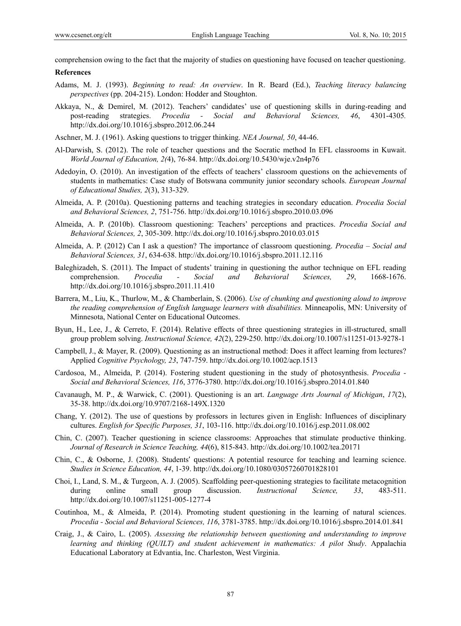comprehension owing to the fact that the majority of studies on questioning have focused on teacher questioning.

#### **References**

- Adams, M. J. (1993). *Beginning to read: An overview*. In R. Beard (Ed.), *Teaching literacy balancing perspectives* (pp. 204-215). London: Hodder and Stoughton.
- Akkaya, N., & Demirel, M. (2012). Teachers' candidates' use of questioning skills in during-reading and post-reading strategies. *Procedia - Social and Behavioral Sciences, 46*, 4301-4305*.* http://dx.doi.org/10.1016/j.sbspro.2012.06.244
- Aschner, M. J. (1961). Asking questions to trigger thinking. *NEA Journal, 50*, 44-46.
- Al-Darwish, S. (2012). The role of teacher questions and the Socratic method In EFL classrooms in Kuwait. *World Journal of Education, 2(*4), 76-84. http://dx.doi.org/10.5430/wje.v2n4p76
- Adedoyin, O. (2010). An investigation of the effects of teachers' classroom questions on the achievements of students in mathematics: Case study of Botswana community junior secondary schools. *European Journal of Educational Studies, 2*(3), 313-329.
- Almeida, A. P. (2010a). Questioning patterns and teaching strategies in secondary education. *Procedia Social and Behavioral Sciences, 2*, 751-756. http://dx.doi.org/10.1016/j.sbspro.2010.03.096
- Almeida, A. P. (2010b). Classroom questioning: Teachers' perceptions and practices. *Procedia Social and Behavioral Sciences, 2*, 305-309. http://dx.doi.org/10.1016/j.sbspro.2010.03.015
- Almeida, A. P. (2012) Can I ask a question? The importance of classroom questioning. *Procedia Social and Behavioral Sciences, 31*, 634-638. http://dx.doi.org/10.1016/j.sbspro.2011.12.116
- Baleghizadeh, S. (2011). The Impact of students' training in questioning the author technique on EFL reading comprehension. *Procedia - Social and Behavioral Sciences, 29*, 1668-1676. http://dx.doi.org/10.1016/j.sbspro.2011.11.410
- Barrera, M., Liu, K., Thurlow, M., & Chamberlain, S. (2006). *Use of chunking and questioning aloud to improve the reading comprehension of English language learners with disabilities.* Minneapolis, MN: University of Minnesota, National Center on Educational Outcomes.
- Byun, H., Lee, J., & Cerreto, F. (2014). Relative effects of three questioning strategies in ill-structured, small group problem solving. *Instructional Science, 42*(2), 229-250. http://dx.doi.org/10.1007/s11251-013-9278-1
- Campbell, J., & Mayer, R. (2009). Questioning as an instructional method: Does it affect learning from lectures? Applied *Cognitive Psychology, 23*, 747-759. http://dx.doi.org/10.1002/acp.1513
- Cardosoa, M., Almeida, P. (2014). Fostering student questioning in the study of photosynthesis. *Procedia Social and Behavioral Sciences, 116*, 3776-3780. http://dx.doi.org/10.1016/j.sbspro.2014.01.840
- Cavanaugh, M. P., & Warwick, C. (2001). Questioning is an art. *Language Arts Journal of Michigan*, *17*(2), 35-38. http://dx.doi.org/10.9707/2168-149X.1320
- Chang, Y. (2012). The use of questions by professors in lectures given in English: Influences of disciplinary cultures. *English for Specific Purposes, 31*, 103-116. http://dx.doi.org/10.1016/j.esp.2011.08.002
- Chin, C. (2007). Teacher questioning in science classrooms: Approaches that stimulate productive thinking. *Journal of Research in Science Teaching, 44*(6), 815-843. http://dx.doi.org/10.1002/tea.20171
- Chin, C., & Osborne, J. (2008). Students' questions: A potential resource for teaching and learning science. *Studies in Science Education, 44*, 1-39. http://dx.doi.org/10.1080/03057260701828101
- Choi, I., Land, S. M., & Turgeon, A. J. (2005). Scaffolding peer-questioning strategies to facilitate metacognition during online small group discussion. *Instructional Science, 33*, 483-511. http://dx.doi.org/10.1007/s11251-005-1277-4
- Coutinhoa, M., & Almeida, P. (2014). Promoting student questioning in the learning of natural sciences. *Procedia - Social and Behavioral Sciences, 116*, 3781-3785. http://dx.doi.org/10.1016/j.sbspro.2014.01.841
- Craig, J., & Cairo, L. (2005). *Assessing the relationship between questioning and understanding to improve learning and thinking (QUILT) and student achievement in mathematics: A pilot Study*. Appalachia Educational Laboratory at Edvantia, Inc. Charleston, West Virginia.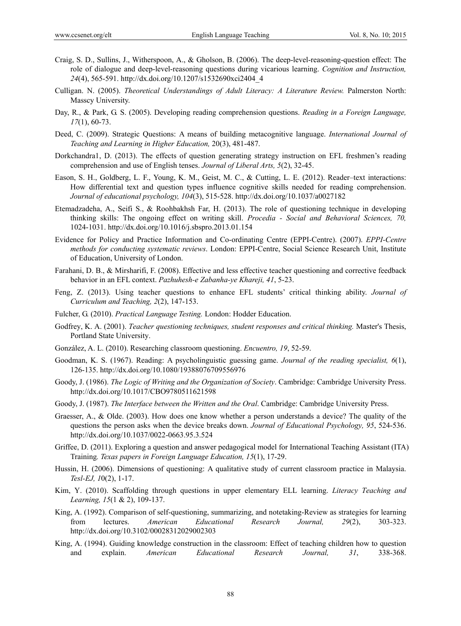- Craig, S. D., Sullins, J., Witherspoon, A., & Gholson, B. (2006). The deep-level-reasoning-question effect: The role of dialogue and deep-level-reasoning questions during vicarious learning. *Cognition and Instruction, 24*(4), 565-591. http://dx.doi.org/10.1207/s1532690xci2404\_4
- Culligan. N. (2005). *Theoretical Understandings of Adult Literacy: A Literature Review. Palmerston North:* Masscy University.
- Day, R., & Park, G. S. (2005). Developing reading comprehension questions. *Reading in a Foreign Language, 17*(1), 60-73.
- Deed, C. (2009). Strategic Questions: A means of building metacognitive language. *International Journal of Teaching and Learning in Higher Education,* 20(3), 481-487.
- Dorkchandra1, D. (2013). The effects of question generating strategy instruction on EFL freshmen's reading comprehension and use of English tenses. *Journal of Liberal Arts, 5*(2), 32-45.
- Eason, S. H., Goldberg, L. F., Young, K. M., Geist, M. C., & Cutting, L. E. (2012). Reader–text interactions: How differential text and question types influence cognitive skills needed for reading comprehension. *Journal of educational psychology, 104*(3), 515-528. http://dx.doi.org/10.1037/a0027182
- Etemadzadeha, A., Seifi S., & Roohbakhsh Far, H. (2013). The role of questioning technique in developing thinking skills: The ongoing effect on writing skill. *Procedia - Social and Behavioral Sciences, 70,*  1024-1031. http://dx.doi.org/10.1016/j.sbspro.2013.01.154
- Evidence for Policy and Practice Information and Co-ordinating Centre (EPPI-Centre). (2007). *EPPI-Centre methods for conducting systematic reviews*. London: EPPI-Centre, Social Science Research Unit, Institute of Education, University of London.
- Farahani, D. B., & Mirsharifi, F. (2008). Effective and less effective teacher questioning and corrective feedback behavior in an EFL context. *Pazhuhesh-e Zabanha-ye Khareji, 41*, 5-23.
- Feng, Z. (2013). Using teacher questions to enhance EFL students' critical thinking ability. *Journal of Curriculum and Teaching, 2*(2), 147-153.
- Fulcher, G. (2010). *Practical Language Testing.* London: Hodder Education.
- Godfrey, K. A. (2001). *Teacher questioning techniques, student responses and critical thinking*. Master's Thesis, Portland State University.
- González, A. L. (2010). Researching classroom questioning. *Encuentro, 19*, 52-59.
- Goodman, K. S. (1967). Reading: A psycholinguistic guessing game. *Journal of the reading specialist, 6*(1), 126-135. http://dx.doi.org/10.1080/19388076709556976
- Goody, J. (1986). *The Logic of Writing and the Organization of Society*. Cambridge: Cambridge University Press. http://dx.doi.org/10.1017/CBO9780511621598
- Goody, J. (1987). *The Interface between the Written and the Oral*. Cambridge: Cambridge University Press.
- Graesser, A., & Olde. (2003). How does one know whether a person understands a device? The quality of the questions the person asks when the device breaks down. *Journal of Educational Psychology, 95*, 524-536. http://dx.doi.org/10.1037/0022-0663.95.3.524
- Griffee, D. (2011). Exploring a question and answer pedagogical model for International Teaching Assistant (ITA) Training*. Texas papers in Foreign Language Education, 15*(1), 17-29.
- Hussin, H. (2006). Dimensions of questioning: A qualitative study of current classroom practice in Malaysia. *Tesl-EJ, 1*0(2), 1-17.
- Kim, Y. (2010). Scaffolding through questions in upper elementary ELL learning. *Literacy Teaching and Learning, 15*(1 & 2), 109-137.
- King, A. (1992). Comparison of self-questioning, summarizing, and notetaking-Review as strategies for learning from lectures. *American Educational Research Journal, 29*(2), 303-323. http://dx.doi.org/10.3102/00028312029002303
- King, A. (1994). Guiding knowledge construction in the classroom: Effect of teaching children how to question and explain. *American Educational Research Journal, 31*, 338-368.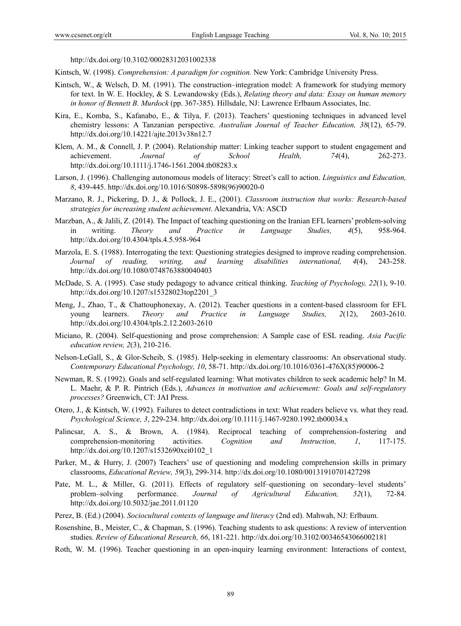http://dx.doi.org/10.3102/00028312031002338

- Kintsch, W. (1998). *Comprehension: A paradigm for cognition.* New York: Cambridge University Press.
- Kintsch, W., & Welsch, D. M. (1991). The construction–integration model: A framework for studying memory for text. In W. E. Hockley, & S. Lewandowsky (Eds.), *Relating theory and data: Essay on human memory in honor of Bennett B. Murdock* (pp. 367-385). Hillsdale, NJ: Lawrence Erlbaum Associates, Inc.
- Kira, E., Komba, S., Kafanabo, E., & Tilya, F. (2013). Teachers' questioning techniques in advanced level chemistry lessons: A Tanzanian perspective. *Australian Journal of Teacher Education, 38*(12), 65-79. http://dx.doi.org/10.14221/ajte.2013v38n12.7
- Klem, A. M., & Connell, J. P. (2004). Relationship matter: Linking teacher support to student engagement and achievement. *Journal of School Health, 74*(4), 262-273. http://dx.doi.org/10.1111/j.1746-1561.2004.tb08283.x
- Larson, J. (1996). Challenging autonomous models of literacy: Street's call to action. *Linguistics and Education, 8*, 439-445. http://dx.doi.org/10.1016/S0898-5898(96)90020-0
- Marzano, R. J., Pickering, D. J., & Pollock, J. E., (2001). *Classroom instruction that works: Research-based strategies for increasing student achievement*. Alexandria, VA: ASCD
- Marzban, A., & Jalili, Z. (2014). The Impact of teaching questioning on the Iranian EFL learners' problem-solving in writing. *Theory and Practice in Language Studies, 4*(5), 958-964. http://dx.doi.org/10.4304/tpls.4.5.958-964
- Marzola, E. S. (1988). Interrogating the text: Questioning strategies designed to improve reading comprehension. *Journal of reading, writing, and learning disabilities international, 4*(4), 243-258. http://dx.doi.org/10.1080/0748763880040403
- McDade, S. A. (1995). Case study pedagogy to advance critical thinking. *Teaching of Psychology, 22*(1), 9-10. http://dx.doi.org/10.1207/s15328023top2201\_3
- Meng, J., Zhao, T., & Chattouphonexay, A. (2012). Teacher questions in a content-based classroom for EFL young learners. *Theory and Practice in Language Studies, 2*(12), 2603-2610. http://dx.doi.org/10.4304/tpls.2.12.2603-2610
- Miciano, R. (2004). Self-questioning and prose comprehension: A Sample case of ESL reading. *Asia Pacific education review, 2*(3), 210-216.
- Nelson-LeGall, S., & Glor-Scheib, S. (1985). Help-seeking in elementary classrooms: An observational study. *Contemporary Educational Psychology, 10*, 58-71. http://dx.doi.org/10.1016/0361-476X(85)90006-2
- Newman, R. S. (1992). Goals and self-regulated learning: What motivates children to seek academic help? In M. L. Maehr, & P. R. Pintrich (Eds.), *Advances in motivation and achievement: Goals and self-regulatory processes?* Greenwich, CT: JAI Press.
- Otero, J., & Kintsch, W. (1992). Failures to detect contradictions in text: What readers believe vs. what they read. *Psychological Science, 3*, 229-234. http://dx.doi.org/10.1111/j.1467-9280.1992.tb00034.x
- Palincsar, A. S., & Brown, A. (1984). Reciprocal teaching of comprehension-fostering and comprehension-monitoring activities. *Cognition and Instruction, 1*, 117-175. http://dx.doi.org/10.1207/s1532690xci0102\_1
- Parker, M., & Hurry, J. (2007) Teachers' use of questioning and modeling comprehension skills in primary classrooms, *Educational Review, 59*(3), 299-314. http://dx.doi.org/10.1080/00131910701427298
- Pate, M. L., & Miller, G. (2011). Effects of regulatory self-questioning on secondary-level students' problem–solving performance. *Journal of Agricultural Education, 52*(1), 72-84. http://dx.doi.org/10.5032/jae.2011.01120
- Perez, B. (Ed.) (2004). *Sociocultural contexts of language and literacy* (2nd ed). Mahwah, NJ: Erlbaum.
- Rosenshine, B., Meister, C., & Chapman, S. (1996). Teaching students to ask questions: A review of intervention studies. *Review of Educational Research, 66*, 181-221. http://dx.doi.org/10.3102/00346543066002181
- Roth, W. M. (1996). Teacher questioning in an open-inquiry learning environment: Interactions of context,